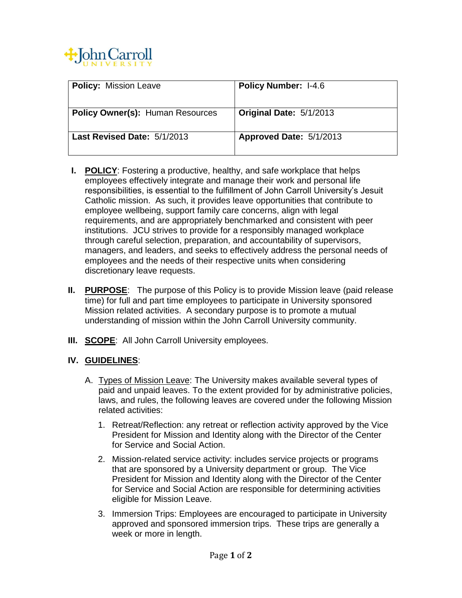

| <b>Policy: Mission Leave</b>            | <b>Policy Number: I-4.6</b> |
|-----------------------------------------|-----------------------------|
| <b>Policy Owner(s): Human Resources</b> | Original Date: 5/1/2013     |
| Last Revised Date: 5/1/2013             | Approved Date: 5/1/2013     |

- **I. POLICY**: Fostering a productive, healthy, and safe workplace that helps employees effectively integrate and manage their work and personal life responsibilities, is essential to the fulfillment of John Carroll University's Jesuit Catholic mission. As such, it provides leave opportunities that contribute to employee wellbeing, support family care concerns, align with legal requirements, and are appropriately benchmarked and consistent with peer institutions. JCU strives to provide for a responsibly managed workplace through careful selection, preparation, and accountability of supervisors, managers, and leaders, and seeks to effectively address the personal needs of employees and the needs of their respective units when considering discretionary leave requests.
- **II. PURPOSE**: The purpose of this Policy is to provide Mission leave (paid release time) for full and part time employees to participate in University sponsored Mission related activities. A secondary purpose is to promote a mutual understanding of mission within the John Carroll University community.
- **III. SCOPE:** All John Carroll University employees.

## **IV. GUIDELINES**:

- A. Types of Mission Leave: The University makes available several types of paid and unpaid leaves. To the extent provided for by administrative policies, laws, and rules, the following leaves are covered under the following Mission related activities:
	- 1. Retreat/Reflection: any retreat or reflection activity approved by the Vice President for Mission and Identity along with the Director of the Center for Service and Social Action.
	- 2. Mission-related service activity: includes service projects or programs that are sponsored by a University department or group. The Vice President for Mission and Identity along with the Director of the Center for Service and Social Action are responsible for determining activities eligible for Mission Leave.
	- 3. Immersion Trips: Employees are encouraged to participate in University approved and sponsored immersion trips. These trips are generally a week or more in length.